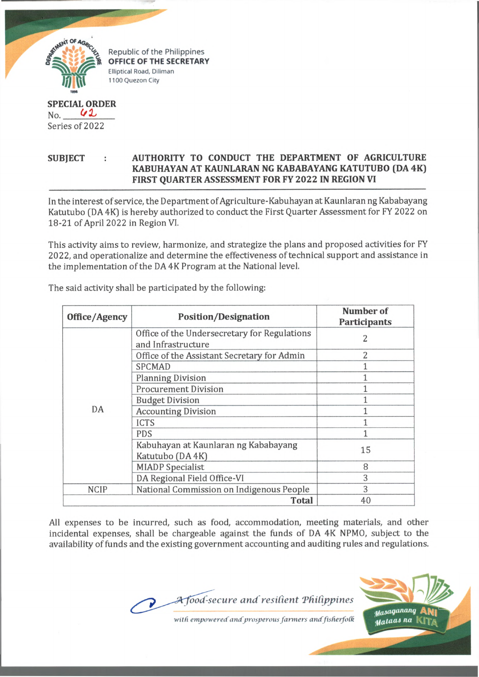

Republic of the Philippines **OFFICE OF THE SECRETARY Elliptical Road, Diliman 1100 Quezon City**

## **SPECIAL ORDER**  $No.$  42 Series of 2022

## SUBJECT : AUTHORITY TO CONDUCT THE DEPARTMENT OF AGRICULTURE **KABUHAYAN AT KAUNLARAN NG KABABAYANG KATUTUBO (DA 4K) FIRST QUARTER ASSESSMENT FOR FY 2022 IN REGION VI**

In the interest of service, the Department of Agriculture-Kabuhayan at Kaunlaran ng Kababayang Katutubo (DA4K) is hereby authorized to conduct the First Quarter Assessment for FY 2022 on 18-21 of April 2022 in Region VI.

This activity aims to review, harmonize, and strategize the plans and proposed activities for FY 2022, and operationalize and determine the effectiveness of technical support and assistance in the implementation of the DA 4K Program at the National level.

| Office/Agency | <b>Position/Designation</b>                                        | Number of<br><b>Participants</b> |
|---------------|--------------------------------------------------------------------|----------------------------------|
| DA            | Office of the Undersecretary for Regulations<br>and Infrastructure | 2                                |
|               | Office of the Assistant Secretary for Admin                        | 2                                |
|               | <b>SPCMAD</b>                                                      |                                  |
|               | <b>Planning Division</b>                                           |                                  |
|               | <b>Procurement Division</b>                                        |                                  |
|               | <b>Budget Division</b>                                             |                                  |
|               | <b>Accounting Division</b>                                         |                                  |
|               | <b>ICTS</b>                                                        |                                  |
|               | <b>PDS</b>                                                         |                                  |
|               | Kabuhayan at Kaunlaran ng Kababayang<br>Katutubo (DA 4K)           | 15                               |
|               | <b>MIADP</b> Specialist                                            | 8                                |
|               | DA Regional Field Office-VI                                        | 3                                |
| <b>NCIP</b>   | National Commission on Indigenous People                           | 3                                |
|               | <b>Total</b>                                                       | 40                               |

The said activity shall be participated by the following:

All expenses to be incurred, such as food, accommodation, meeting materials, and other incidental expenses, shall be chargeable against the funds of DA 4K NPMO, subject to the availability of funds and the existing government accounting and auditing rules and regulations.





with empowered and prosperous farmers and fisherfolk